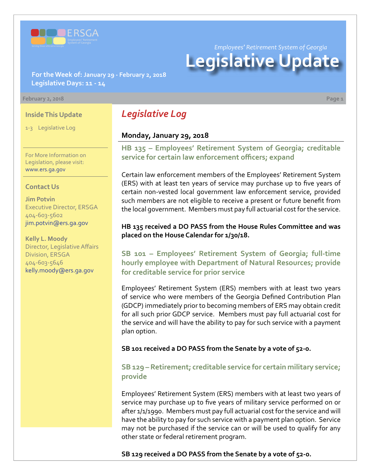

*Employees' Retirement System of Georgia*

# **Legislative Update**

**For the Week of: January 29 - February 2, 2018 Legislative Days: 11 - 14**

#### **February 2, 2018 Page 1**

#### **Inside This Update**

1-3 Legislative Log

For More Information on Legislation, please visit: [www.ers.ga.gov](http://www.ers.ga.gov/)

#### **Contact Us**

**Jim Potvin** Executive Director, ERSGA 404-603-5602 jim.potvin@ers.ga.gov

**Kelly L. Moody** Director, Legislative Affairs Division, ERSGA 404-603-5646 kelly.moody@ers.ga.gov

# *Legislative Log*

#### **Monday, January 29, 2018**

**HB 135 [–](http://www.legis.ga.gov/legislation/en-US/Display/20172018/HB/135) Employees' Retirement System of Georgia; creditable service for certain law enforcement officers; expand**

Certain law enforcement members of the Employees' Retirement System (ERS) with at least ten years of service may purchase up to five years of certain non-vested local government law enforcement service, provided such members are not eligible to receive a present or future benefit from the local government. Members must pay full actuarial cost for the service.

#### **HB 135 received a DO PASS from the House Rules Committee and was placed on the House Calendar for 1/30/18.**

**SB 101 [– E](http://www.legis.ga.gov/legislation/en-US/Display/20172018/SB/101)mployees' Retirement System of Georgia; full-time hourly employee with Department of Natural Resources; provide for creditable service for prior service**

Employees' Retirement System (ERS) members with at least two years of service who were members of the Georgia Defined Contribution Plan (GDCP) immediately prior to becoming members of ERS may obtain credit for all such prior GDCP service. Members must pay full actuarial cost for the service and will have the ability to pay for such service with a payment plan option.

**SB 101 received a DO PASS from the Senate by a vote of 52-0.**

### **SB 129 [–](http://www.legis.ga.gov/legislation/en-US/Display/20172018/SB/129) Retirement; creditable service for certain military service; provide**

Employees' Retirement System (ERS) members with at least two years of service may purchase up to five years of military service performed on or after 1/1/1990. Members must pay full actuarial cost for the service and will have the ability to pay for such service with a payment plan option. Service may not be purchased if the service can or will be used to qualify for any other state or federal retirement program.

**SB 129 received a DO PASS from the Senate by a vote of 52-0.**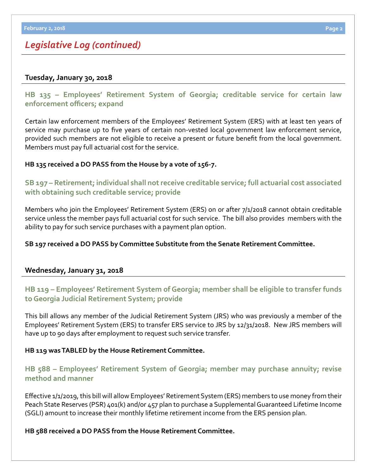# *Legislative Log (continued)*

#### **Tuesday, January 30, 2018**

**HB 135 [– E](http://www.legis.ga.gov/legislation/en-US/Display/20172018/HB/135)mployees' Retirement System of Georgia; creditable service for certain law enforcement officers; expand**

Certain law enforcement members of the Employees' Retirement System (ERS) with at least ten years of service may purchase up to five years of certain non-vested local government law enforcement service, provided such members are not eligible to receive a present or future benefit from the local government. Members must pay full actuarial cost for the service.

#### **HB 135 received a DO PASS from the House by a vote of 156-7.**

## **SB 197 [–](http://www.legis.ga.gov/legislation/en-US/Display/20172018/SB/197) Retirement; individual shall not receive creditable service; full actuarial cost associated with obtaining such creditable service; provide**

Members who join the Employees' Retirement System (ERS) on or after 7/1/2018 cannot obtain creditable service unless the member pays full actuarial cost for such service. The bill also provides members with the ability to pay for such service purchases with a payment plan option.

#### **SB 197 received a DO PASS by Committee Substitute from the Senate Retirement Committee.**

#### **Wednesday, January 31, 2018**

# **HB 119 [– E](http://www.legis.ga.gov/legislation/en-US/Display/20172018/HB/119)mployees' Retirement System of Georgia; member shall be eligible to transfer funds to Georgia Judicial Retirement System; provide**

This bill allows any member of the Judicial Retirement System (JRS) who was previously a member of the Employees' Retirement System (ERS) to transfer ERS service to JRS by 12/31/2018. New JRS members will have up to 90 days after employment to request such service transfer.

#### **HB 119 was TABLED by the House Retirement Committee.**

# **HB [588 – E](http://www.legis.ga.gov/legislation/en-US/Display/20172018/HB/588)mployees' Retirement System of Georgia; member may purchase annuity; revise method and manner**

Effective 1/1/2019, this bill will allow Employees' Retirement System (ERS) members to use money from their Peach State Reserves (PSR) 401(k) and/or 457 plan to purchase a Supplemental Guaranteed Lifetime Income (SGLI) amount to increase their monthly lifetime retirement income from the ERS pension plan.

#### **HB 588 received a DO PASS from the House Retirement Committee.**